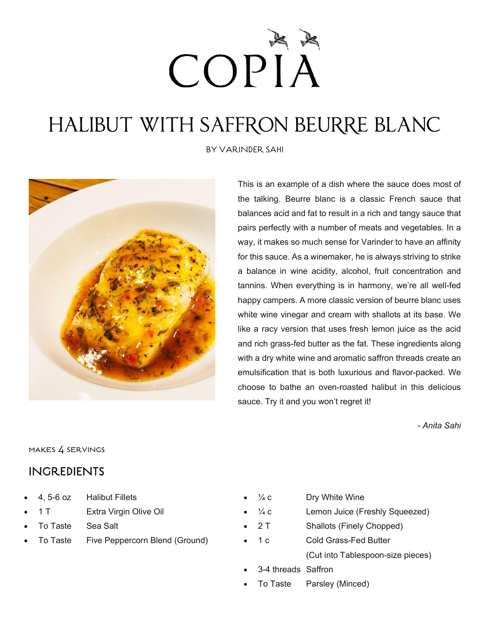# COPIÅ

## HALIBUT WITH SAFFRON BEURRE BLANC

BY VARINDER SAHI



This is an example of a dish where the sauce does most of the talking. Beurre blanc is a classic French sauce that balances acid and fat to result in a rich and tangy sauce that pairs perfectly with a number of meats and vegetables. In a way, it makes so much sense for Varinder to have an affinity for this sauce. As a winemaker, he is always striving to strike a balance in wine acidity, alcohol, fruit concentration and tannins. When everything is in harmony, we're all well-fed happy campers. A more classic version of beurre blanc uses white wine vinegar and cream with shallots at its base. We like a racy version that uses fresh lemon juice as the acid and rich grass-fed butter as the fat. These ingredients along with a dry white wine and aromatic saffron threads create an emulsification that is both luxurious and flavor-packed. We choose to bathe an oven-roasted halibut in this delicious sauce. Try it and you won't regret it!

*- Anita Sahi*

#### makes 4 servings

#### INGREDIENTS

- 4, 5-6 oz Halibut Fillets
- 1 T Extra Virgin Olive Oil
- To Taste Sea Salt
- To Taste Five Peppercorn Blend (Ground)
- $\frac{1}{4}$  c Dry White Wine  $\frac{1}{4}c$  Lemon Juice (Freshly Squeezed) 2 T Shallots (Finely Chopped) • 1 c Cold Grass-Fed Butter (Cut into Tablespoon-size pieces)
	- 3-4 threads Saffron
	- To Taste Parsley (Minced)